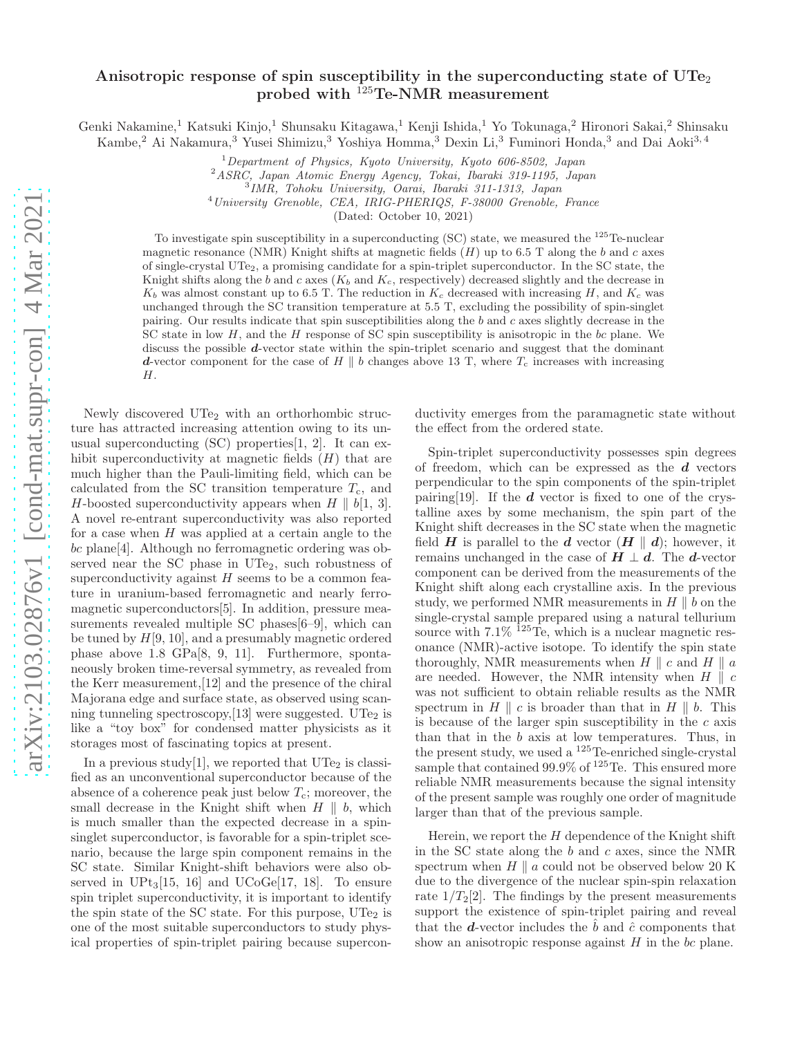# Anisotropic response of spin susceptibility in the superconducting state of  $\text{UTe}_2$ probed with <sup>125</sup>Te-NMR measurement

Genki Nakamine,<sup>1</sup> Katsuki Kinjo,<sup>1</sup> Shunsaku Kitagawa,<sup>1</sup> Kenji Ishida,<sup>1</sup> Yo Tokunaga,<sup>2</sup> Hironori Sakai,<sup>2</sup> Shinsaku Kambe,<sup>2</sup> Ai Nakamura,<sup>3</sup> Yusei Shimizu,<sup>3</sup> Yoshiya Homma,<sup>3</sup> Dexin Li,<sup>3</sup> Fuminori Honda,<sup>3</sup> and Dai Aoki<sup>3,4</sup>

 $1$ Department of Physics, Kyoto University, Kyoto 606-8502, Japan

<sup>2</sup>ASRC, Japan Atomic Energy Agency, Tokai, Ibaraki 319-1195, Japan

3 IMR, Tohoku University, Oarai, Ibaraki 311-1313, Japan

<sup>4</sup>University Grenoble, CEA, IRIG-PHERIQS, F-38000 Grenoble, France

(Dated: October 10, 2021)

To investigate spin susceptibility in a superconducting (SC) state, we measured the <sup>125</sup>Te-nuclear magnetic resonance (NMR) Knight shifts at magnetic fields  $(H)$  up to 6.5 T along the b and c axes of single-crystal UTe2, a promising candidate for a spin-triplet superconductor. In the SC state, the Knight shifts along the b and c axes  $(K_b \text{ and } K_c)$ , respectively) decreased slightly and the decrease in  $K_b$  was almost constant up to 6.5 T. The reduction in  $K_c$  decreased with increasing H, and  $K_c$  was unchanged through the SC transition temperature at 5.5 T, excluding the possibility of spin-singlet pairing. Our results indicate that spin susceptibilities along the b and c axes slightly decrease in the SC state in low H, and the H response of SC spin susceptibility is anisotropic in the bc plane. We discuss the possible d-vector state within the spin-triplet scenario and suggest that the dominant d-vector component for the case of H || b changes above 13 T, where  $T_c$  increases with increasing H.

Newly discovered UTe<sub>2</sub> with an orthorhombic structure has attracted increasing attention owing to its unusual superconducting  $(SC)$  properties $[1, 2]$ . It can exhibit superconductivity at magnetic fields  $(H)$  that are much higher than the Pauli-limiting field, which can be calculated from the SC transition temperature  $T_c$ , and H-boosted superconductivity appears when  $H \parallel b[1, 3]$ . A novel re-entrant superconductivity was also reported for a case when  $H$  was applied at a certain angle to the bc plane[4]. Although no ferromagnetic ordering was observed near the SC phase in  $UTe<sub>2</sub>$ , such robustness of superconductivity against  $H$  seems to be a common feature in uranium-based ferromagnetic and nearly ferromagnetic superconductors[5]. In addition, pressure measurements revealed multiple SC phases[6–9], which can be tuned by  $H[9, 10]$ , and a presumably magnetic ordered phase above 1.8 GPa[8, 9, 11]. Furthermore, spontaneously broken time-reversal symmetry, as revealed from the Kerr measurement,[12] and the presence of the chiral Majorana edge and surface state, as observed using scanning tunneling spectroscopy, [13] were suggested. UTe<sub>2</sub> is like a "toy box" for condensed matter physicists as it storages most of fascinating topics at present.

In a previous study [1], we reported that  $UT_{2}$  is classified as an unconventional superconductor because of the absence of a coherence peak just below  $T_c$ ; moreover, the small decrease in the Knight shift when  $H \parallel b$ , which is much smaller than the expected decrease in a spinsinglet superconductor, is favorable for a spin-triplet scenario, because the large spin component remains in the SC state. Similar Knight-shift behaviors were also observed in  $UPt_3[15, 16]$  and  $UCoGe[17, 18]$ . To ensure spin triplet superconductivity, it is important to identify the spin state of the SC state. For this purpose,  $\text{UTe}_2$  is one of the most suitable superconductors to study physical properties of spin-triplet pairing because superconductivity emerges from the paramagnetic state without the effect from the ordered state.

Spin-triplet superconductivity possesses spin degrees of freedom, which can be expressed as the  $d$  vectors perpendicular to the spin components of the spin-triplet pairing [19]. If the  $d$  vector is fixed to one of the crystalline axes by some mechanism, the spin part of the Knight shift decreases in the SC state when the magnetic field **H** is parallel to the **d** vector  $(H \parallel d)$ ; however, it remains unchanged in the case of  $H \perp d$ . The d-vector component can be derived from the measurements of the Knight shift along each crystalline axis. In the previous study, we performed NMR measurements in  $H \parallel b$  on the single-crystal sample prepared using a natural tellurium source with  $7.1\%$  <sup>125</sup>Te, which is a nuclear magnetic resonance (NMR)-active isotope. To identify the spin state thoroughly, NMR measurements when  $H \parallel c$  and  $H \parallel a$ are needed. However, the NMR intensity when  $H \parallel c$ was not sufficient to obtain reliable results as the NMR spectrum in  $H \parallel c$  is broader than that in  $H \parallel b$ . This is because of the larger spin susceptibility in the  $c$  axis than that in the b axis at low temperatures. Thus, in the present study, we used a  $125$  Te-enriched single-crystal sample that contained 99.9% of <sup>125</sup>Te. This ensured more reliable NMR measurements because the signal intensity of the present sample was roughly one order of magnitude larger than that of the previous sample.

Herein, we report the  $H$  dependence of the Knight shift in the SC state along the  $b$  and  $c$  axes, since the NMR spectrum when  $H \parallel a$  could not be observed below 20 K due to the divergence of the nuclear spin-spin relaxation rate  $1/T_2[2]$ . The findings by the present measurements support the existence of spin-triplet pairing and reveal that the **d**-vector includes the  $\hat{b}$  and  $\hat{c}$  components that show an anisotropic response against  $H$  in the  $bc$  plane.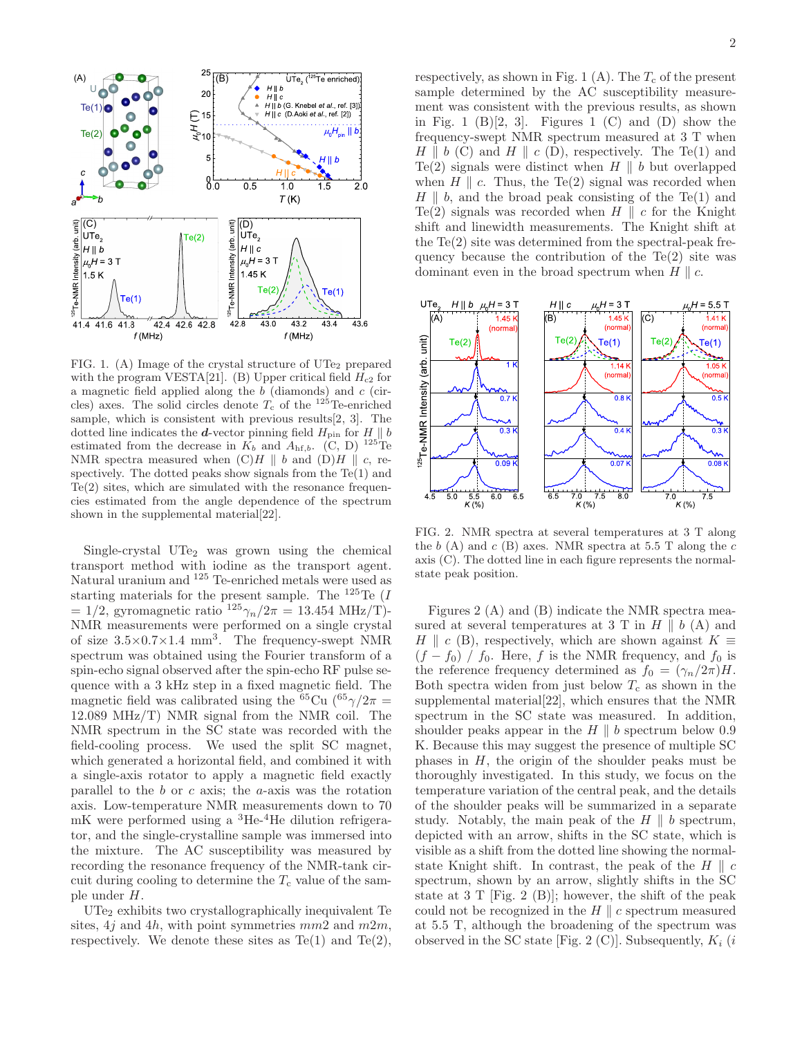

FIG. 1. (A) Image of the crystal structure of  $UT_{2}$  prepared with the program VESTA[21]. (B) Upper critical field  $H_{c2}$  for a magnetic field applied along the  $b$  (diamonds) and  $c$  (circles) axes. The solid circles denote  $T_c$  of the  $125$ Te-enriched sample, which is consistent with previous results[2, 3]. The dotted line indicates the *d*-vector pinning field  $H_{\text{pin}}$  for  $H \parallel b$ estimated from the decrease in  $\overline{K_b}$  and  $\overline{A_{\text{hf},b}}$ . (C, D) <sup>125</sup>Te NMR spectra measured when  $(C)H \parallel b$  and  $(D)H \parallel c$ , respectively. The dotted peaks show signals from the  $Te(1)$  and Te(2) sites, which are simulated with the resonance frequencies estimated from the angle dependence of the spectrum shown in the supplemental material[22].

Single-crystal  $\text{UTe}_2$  was grown using the chemical transport method with iodine as the transport agent. Natural uranium and <sup>125</sup> Te-enriched metals were used as starting materials for the present sample. The  $125 \text{Te}$  (*I*  $= 1/2$ , gyromagnetic ratio  $125\gamma_n/2\pi = 13.454 \text{ MHz/T}$ . NMR measurements were performed on a single crystal of size  $3.5 \times 0.7 \times 1.4$  mm<sup>3</sup>. The frequency-swept NMR spectrum was obtained using the Fourier transform of a spin-echo signal observed after the spin-echo RF pulse sequence with a 3 kHz step in a fixed magnetic field. The magnetic field was calibrated using the <sup>65</sup>Cu (<sup>65</sup> $\gamma/2\pi$  = 12.089 MHz/T) NMR signal from the NMR coil. The NMR spectrum in the SC state was recorded with the field-cooling process. We used the split SC magnet, which generated a horizontal field, and combined it with a single-axis rotator to apply a magnetic field exactly parallel to the  $b$  or  $c$  axis; the  $a$ -axis was the rotation axis. Low-temperature NMR measurements down to 70  $mK$  were performed using a  ${}^{3}He$ <sup>4</sup>He dilution refrigerator, and the single-crystalline sample was immersed into the mixture. The AC susceptibility was measured by recording the resonance frequency of the NMR-tank circuit during cooling to determine the  $T_c$  value of the sample under H.

UTe<sup>2</sup> exhibits two crystallographically inequivalent Te sites,  $4j$  and  $4h$ , with point symmetries  $mm2$  and  $m2m$ , respectively. We denote these sites as  $Te(1)$  and  $Te(2)$ ,

respectively, as shown in Fig. 1 (A). The  $T_c$  of the present sample determined by the AC susceptibility measurement was consistent with the previous results, as shown in Fig. 1  $(B)[2, 3]$ . Figures 1  $(C)$  and  $(D)$  show the frequency-swept NMR spectrum measured at 3 T when  $H \parallel b$  (C) and  $H \parallel c$  (D), respectively. The Te(1) and Te(2) signals were distinct when  $H \parallel b$  but overlapped when  $H \parallel c$ . Thus, the Te(2) signal was recorded when  $H \parallel b$ , and the broad peak consisting of the Te(1) and Te(2) signals was recorded when  $H \parallel c$  for the Knight shift and linewidth measurements. The Knight shift at the  $Te(2)$  site was determined from the spectral-peak frequency because the contribution of the  $Te(2)$  site was dominant even in the broad spectrum when  $H \parallel c$ .



FIG. 2. NMR spectra at several temperatures at 3 T along the  $b(A)$  and  $c(B)$  axes. NMR spectra at 5.5 T along the  $c$ axis (C). The dotted line in each figure represents the normalstate peak position.

Figures 2 (A) and (B) indicate the NMR spectra measured at several temperatures at 3 T in  $H \parallel b(A)$  and H || c (B), respectively, which are shown against  $K \equiv$  $(f - f_0) / f_0$ . Here, f is the NMR frequency, and  $f_0$  is the reference frequency determined as  $f_0 = (\gamma_n/2\pi)H$ . Both spectra widen from just below  $T_c$  as shown in the supplemental material[22], which ensures that the NMR spectrum in the SC state was measured. In addition, shoulder peaks appear in the  $H \parallel b$  spectrum below 0.9 K. Because this may suggest the presence of multiple SC phases in  $H$ , the origin of the shoulder peaks must be thoroughly investigated. In this study, we focus on the temperature variation of the central peak, and the details of the shoulder peaks will be summarized in a separate study. Notably, the main peak of the  $H \parallel b$  spectrum, depicted with an arrow, shifts in the SC state, which is visible as a shift from the dotted line showing the normalstate Knight shift. In contrast, the peak of the  $H \parallel c$ spectrum, shown by an arrow, slightly shifts in the SC state at  $3$  T [Fig. 2 (B)]; however, the shift of the peak could not be recognized in the  $H \parallel c$  spectrum measured at 5.5 T, although the broadening of the spectrum was observed in the SC state [Fig. 2 (C)]. Subsequently,  $K_i$  (i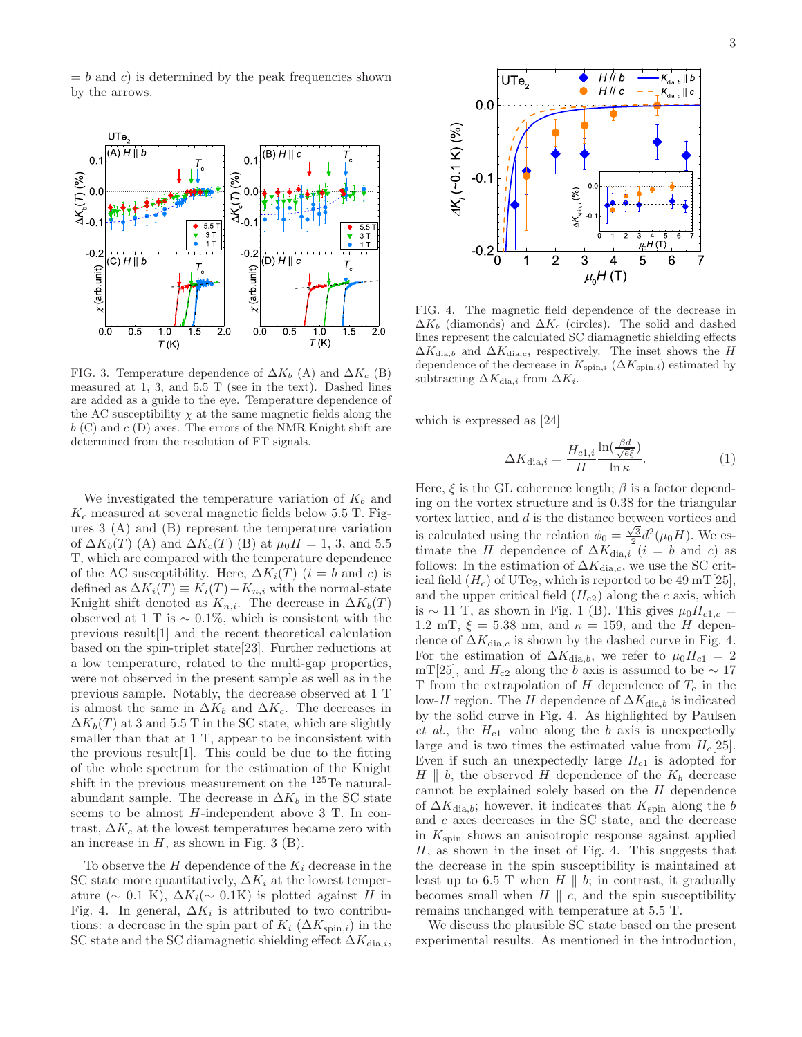$= b$  and c) is determined by the peak frequencies shown by the arrows.



FIG. 3. Temperature dependence of  $\Delta K_b$  (A) and  $\Delta K_c$  (B) measured at 1, 3, and 5.5 T (see in the text). Dashed lines are added as a guide to the eye. Temperature dependence of the AC susceptibility  $\chi$  at the same magnetic fields along the  $b$  (C) and  $c$  (D) axes. The errors of the NMR Knight shift are determined from the resolution of FT signals.

We investigated the temperature variation of  $K_b$  and  $K_c$  measured at several magnetic fields below 5.5 T. Figures 3 (A) and (B) represent the temperature variation of  $\Delta K_b(T)$  (A) and  $\Delta K_c(T)$  (B) at  $\mu_0 H = 1, 3$ , and 5.5 T, which are compared with the temperature dependence of the AC susceptibility. Here,  $\Delta K_i(T)$   $(i = b \text{ and } c)$  is defined as  $\Delta K_i(T) \equiv K_i(T) - K_{n,i}$  with the normal-state Knight shift denoted as  $K_{n,i}$ . The decrease in  $\Delta K_b(T)$ observed at 1 T is  $\sim 0.1\%$ , which is consistent with the previous result[1] and the recent theoretical calculation based on the spin-triplet state[23]. Further reductions at a low temperature, related to the multi-gap properties, were not observed in the present sample as well as in the previous sample. Notably, the decrease observed at 1 T is almost the same in  $\Delta K_b$  and  $\Delta K_c$ . The decreases in  $\Delta K_b(T)$  at 3 and 5.5 T in the SC state, which are slightly smaller than that at 1 T, appear to be inconsistent with the previous result[1]. This could be due to the fitting of the whole spectrum for the estimation of the Knight shift in the previous measurement on the  $^{125}$ Te naturalabundant sample. The decrease in  $\Delta K_b$  in the SC state seems to be almost H-independent above 3 T. In contrast,  $\Delta K_c$  at the lowest temperatures became zero with an increase in  $H$ , as shown in Fig. 3 (B).

To observe the  $H$  dependence of the  $K_i$  decrease in the SC state more quantitatively,  $\Delta K_i$  at the lowest temperature ( $\sim$  0.1 K),  $\Delta K_i(\sim 0.1$ K) is plotted against H in Fig. 4. In general,  $\Delta K_i$  is attributed to two contributions: a decrease in the spin part of  $K_i$  ( $\Delta K_{\text{spin},i}$ ) in the SC state and the SC diamagnetic shielding effect  $\Delta K_{\text{dia},i}$ ,



FIG. 4. The magnetic field dependence of the decrease in  $\Delta K_b$  (diamonds) and  $\Delta K_c$  (circles). The solid and dashed lines represent the calculated SC diamagnetic shielding effects  $\Delta K_{\text{dia},b}$  and  $\Delta K_{\text{dia},c}$ , respectively. The inset shows the H dependence of the decrease in  $K_{\text{spin},i}$  ( $\Delta K_{\text{spin},i}$ ) estimated by subtracting  $\Delta K_{\text{dia},i}$  from  $\Delta K_i$ .

which is expressed as [24]

$$
\Delta K_{\text{dia},i} = \frac{H_{c1,i}}{H} \frac{\ln(\frac{\beta d}{\sqrt{e}\xi})}{\ln \kappa}.
$$
\n(1)

Here,  $\xi$  is the GL coherence length;  $\beta$  is a factor depending on the vortex structure and is 0.38 for the triangular vortex lattice, and d is the distance between vortices and is calculated using the relation  $\phi_0 = \frac{\sqrt{3}}{2} d^2(\mu_0 H)$ . We estimate the H dependence of  $\Delta K_{dia,i}$  (i = b and c) as follows: In the estimation of  $\Delta K_{\text{dia},c}$ , we use the SC critical field  $(H_c)$  of UTe<sub>2</sub>, which is reported to be 49 mT[25], and the upper critical field  $(H<sub>c2</sub>)$  along the c axis, which is ~ 11 T, as shown in Fig. 1 (B). This gives  $\mu_0 H_{c1,c}$  = 1.2 mT,  $\xi = 5.38$  nm, and  $\kappa = 159$ , and the H dependence of  $\Delta K_{\text{dia},c}$  is shown by the dashed curve in Fig. 4. For the estimation of  $\Delta K_{\text{dia},b}$ , we refer to  $\mu_0 H_{c1} = 2$ mT[25], and  $H_{c2}$  along the b axis is assumed to be  $\sim 17$ T from the extrapolation of  $H$  dependence of  $T_c$  in the low-H region. The H dependence of  $\Delta K_{\text{dia},b}$  is indicated by the solid curve in Fig. 4. As highlighted by Paulsen et al., the  $H_{c1}$  value along the b axis is unexpectedly large and is two times the estimated value from  $H_c[25]$ . Even if such an unexpectedly large  $H_{c1}$  is adopted for  $H \parallel b$ , the observed H dependence of the  $K_b$  decrease cannot be explained solely based on the  $H$  dependence of  $\Delta K_{\text{dia},b}$ ; however, it indicates that  $K_{\text{spin}}$  along the b and  $c$  axes decreases in the SC state, and the decrease in  $K_{\text{spin}}$  shows an anisotropic response against applied  $H$ , as shown in the inset of Fig. 4. This suggests that the decrease in the spin susceptibility is maintained at least up to 6.5 T when  $H \parallel b$ ; in contrast, it gradually becomes small when  $H \parallel c$ , and the spin susceptibility remains unchanged with temperature at 5.5 T.

We discuss the plausible SC state based on the present experimental results. As mentioned in the introduction,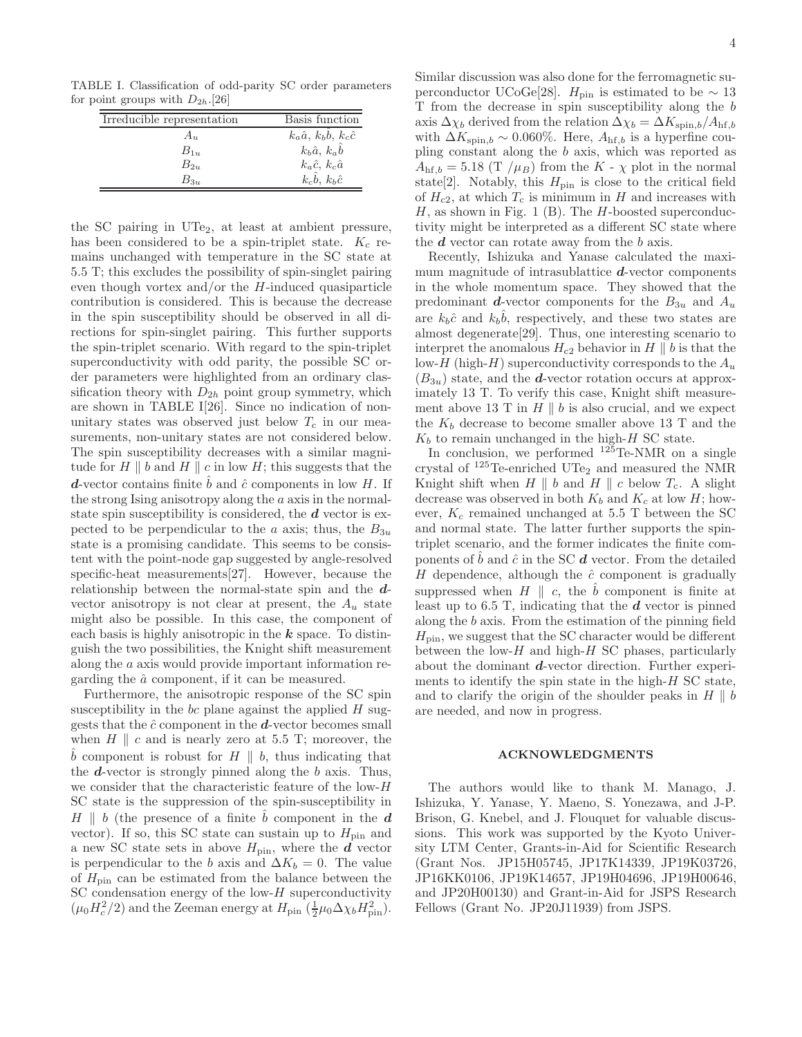TABLE I. Classification of odd-parity SC order parameters for point groups with  $D_{2h}$ .[26]

| Irreducible representation | Basis function                             |
|----------------------------|--------------------------------------------|
| $A_{u}$                    | $k_a\hat{a}$ , $k_b\hat{b}$ , $k_c\hat{c}$ |
| $B_{1u}$                   | $k_b \hat{a}, k_a \hat{b}$                 |
| $B_{2n}$                   | $k_a\hat{c}, k_c\hat{a}$                   |
| $B_{3u}$                   | $k_c\hat{b}$ , $k_b\hat{c}$                |

the SC pairing in  $UTe<sub>2</sub>$ , at least at ambient pressure, has been considered to be a spin-triplet state.  $K_c$  remains unchanged with temperature in the SC state at 5.5 T; this excludes the possibility of spin-singlet pairing even though vortex and/or the  $H$ -induced quasiparticle contribution is considered. This is because the decrease in the spin susceptibility should be observed in all directions for spin-singlet pairing. This further supports the spin-triplet scenario. With regard to the spin-triplet superconductivity with odd parity, the possible SC order parameters were highlighted from an ordinary classification theory with  $D_{2h}$  point group symmetry, which are shown in TABLE I[26]. Since no indication of nonunitary states was observed just below  $T_c$  in our measurements, non-unitary states are not considered below. The spin susceptibility decreases with a similar magnitude for  $H \parallel b$  and  $H \parallel c$  in low  $H$ ; this suggests that the **d**-vector contains finite  $\hat{b}$  and  $\hat{c}$  components in low H. If the strong Ising anisotropy along the a axis in the normalstate spin susceptibility is considered, the  $d$  vector is expected to be perpendicular to the a axis; thus, the  $B_{3u}$ state is a promising candidate. This seems to be consistent with the point-node gap suggested by angle-resolved specific-heat measurements[27]. However, because the relationship between the normal-state spin and the dvector anisotropy is not clear at present, the  $A_u$  state might also be possible. In this case, the component of each basis is highly anisotropic in the  $k$  space. To distinguish the two possibilities, the Knight shift measurement along the a axis would provide important information regarding the  $\hat{a}$  component, if it can be measured.

Furthermore, the anisotropic response of the SC spin susceptibility in the  $bc$  plane against the applied  $H$  suggests that the  $\hat{c}$  component in the  $\hat{d}$ -vector becomes small when  $H \parallel c$  and is nearly zero at 5.5 T; moreover, the  $\overline{b}$  component is robust for  $H \parallel b$ , thus indicating that the  $d$ -vector is strongly pinned along the  $b$  axis. Thus, we consider that the characteristic feature of the low-H SC state is the suppression of the spin-susceptibility in  $H \parallel b$  (the presence of a finite  $\hat{b}$  component in the d vector). If so, this SC state can sustain up to  $H_{\text{pin}}$  and a new SC state sets in above  $H_{\text{pin}}$ , where the  $\vec{d}$  vector is perpendicular to the b axis and  $\Delta K_b = 0$ . The value of  $H_{\text{pin}}$  can be estimated from the balance between the SC condensation energy of the low- $H$  superconductivity  $(\mu_0 H_c^2/2)$  and the Zeeman energy at  $H_{\text{pin}} \left(\frac{1}{2}\mu_0 \Delta \chi_b H_{\text{pin}}^2\right)$ .

Similar discussion was also done for the ferromagnetic superconductor UCoGe[28].  $H_{\text{pin}}$  is estimated to be  $\sim 13$ T from the decrease in spin susceptibility along the b axis  $\Delta \chi_b$  derived from the relation  $\Delta \chi_b = \Delta K_{\text{spin},b}/A_{\text{hf},b}$ with  $\Delta K_{\text{spin},b} \sim 0.060\%$ . Here,  $A_{\text{hf},b}$  is a hyperfine coupling constant along the b axis, which was reported as  $A_{\text{hf},b} = 5.18 \left( \frac{\text{T}}{\mu_B} \right)$  from the K -  $\chi$  plot in the normal state[2]. Notably, this  $H_{\text{pin}}$  is close to the critical field of  $H_{c2}$ , at which  $T_c$  is minimum in H and increases with  $H$ , as shown in Fig. 1 (B). The  $H$ -boosted superconductivity might be interpreted as a different SC state where the  $d$  vector can rotate away from the  $b$  axis.

Recently, Ishizuka and Yanase calculated the maximum magnitude of intrasublattice  $d$ -vector components in the whole momentum space. They showed that the predominant **d**-vector components for the  $B_{3u}$  and  $A_u$ are  $k_b\hat{c}$  and  $k_b\hat{b}$ , respectively, and these two states are almost degenerate[29]. Thus, one interesting scenario to interpret the anomalous  $H_{c2}$  behavior in H || b is that the low-H (high-H) superconductivity corresponds to the  $A_u$  $(B_{3u})$  state, and the **d**-vector rotation occurs at approximately 13 T. To verify this case, Knight shift measurement above 13 T in  $H \parallel b$  is also crucial, and we expect the  $K_b$  decrease to become smaller above 13 T and the  $K_b$  to remain unchanged in the high- $H$  SC state.

In conclusion, we performed  $125$ Te-NMR on a single crystal of  $^{125}$ Te-enriched UTe<sub>2</sub> and measured the NMR Knight shift when  $H \parallel b$  and  $H \parallel c$  below  $T_c$ . A slight decrease was observed in both  $K_b$  and  $K_c$  at low H; however,  $K_c$  remained unchanged at 5.5 T between the SC and normal state. The latter further supports the spintriplet scenario, and the former indicates the finite components of  $\hat{b}$  and  $\hat{c}$  in the SC  $\hat{d}$  vector. From the detailed H dependence, although the  $\hat{c}$  component is gradually suppressed when  $H \parallel c$ , the  $\bar{b}$  component is finite at least up to 6.5 T, indicating that the  $d$  vector is pinned along the b axis. From the estimation of the pinning field  $H_{\text{pin}}$ , we suggest that the SC character would be different between the low- $H$  and high- $H$  SC phases, particularly about the dominant d-vector direction. Further experiments to identify the spin state in the high-H SC state, and to clarify the origin of the shoulder peaks in  $H \parallel b$ are needed, and now in progress.

#### ACKNOWLEDGMENTS

The authors would like to thank M. Manago, J. Ishizuka, Y. Yanase, Y. Maeno, S. Yonezawa, and J-P. Brison, G. Knebel, and J. Flouquet for valuable discussions. This work was supported by the Kyoto University LTM Center, Grants-in-Aid for Scientific Research (Grant Nos. JP15H05745, JP17K14339, JP19K03726, JP16KK0106, JP19K14657, JP19H04696, JP19H00646, and JP20H00130) and Grant-in-Aid for JSPS Research Fellows (Grant No. JP20J11939) from JSPS.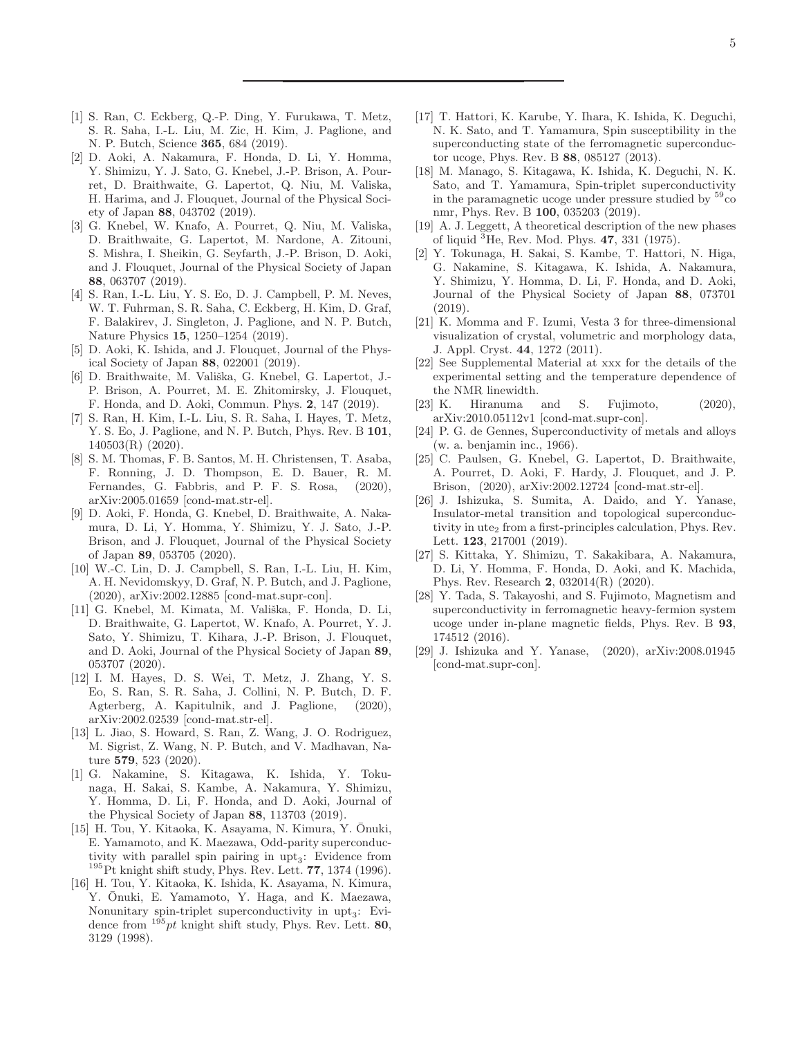- [1] S. Ran, C. Eckberg, Q.-P. Ding, Y. Furukawa, T. Metz, S. R. Saha, I.-L. Liu, M. Zic, H. Kim, J. Paglione, and N. P. Butch, Science 365, 684 (2019).
- [2] D. Aoki, A. Nakamura, F. Honda, D. Li, Y. Homma, Y. Shimizu, Y. J. Sato, G. Knebel, J.-P. Brison, A. Pourret, D. Braithwaite, G. Lapertot, Q. Niu, M. Valiska, H. Harima, and J. Flouquet, Journal of the Physical Society of Japan 88, 043702 (2019).
- [3] G. Knebel, W. Knafo, A. Pourret, Q. Niu, M. Valiska, D. Braithwaite, G. Lapertot, M. Nardone, A. Zitouni, S. Mishra, I. Sheikin, G. Seyfarth, J.-P. Brison, D. Aoki, and J. Flouquet, Journal of the Physical Society of Japan 88, 063707 (2019).
- [4] S. Ran, I.-L. Liu, Y. S. Eo, D. J. Campbell, P. M. Neves, W. T. Fuhrman, S. R. Saha, C. Eckberg, H. Kim, D. Graf, F. Balakirev, J. Singleton, J. Paglione, and N. P. Butch, Nature Physics 15, 1250–1254 (2019).
- [5] D. Aoki, K. Ishida, and J. Flouquet, Journal of the Physical Society of Japan 88, 022001 (2019).
- [6] D. Braithwaite, M. Vališka, G. Knebel, G. Lapertot, J.-P. Brison, A. Pourret, M. E. Zhitomirsky, J. Flouquet, F. Honda, and D. Aoki, Commun. Phys. 2, 147 (2019).
- [7] S. Ran, H. Kim, I.-L. Liu, S. R. Saha, I. Hayes, T. Metz, Y. S. Eo, J. Paglione, and N. P. Butch, Phys. Rev. B 101, 140503(R) (2020).
- [8] S. M. Thomas, F. B. Santos, M. H. Christensen, T. Asaba, F. Ronning, J. D. Thompson, E. D. Bauer, R. M. Fernandes, G. Fabbris, and P. F. S. Rosa, (2020), arXiv:2005.01659 [cond-mat.str-el].
- [9] D. Aoki, F. Honda, G. Knebel, D. Braithwaite, A. Nakamura, D. Li, Y. Homma, Y. Shimizu, Y. J. Sato, J.-P. Brison, and J. Flouquet, Journal of the Physical Society of Japan 89, 053705 (2020).
- [10] W.-C. Lin, D. J. Campbell, S. Ran, I.-L. Liu, H. Kim, A. H. Nevidomskyy, D. Graf, N. P. Butch, and J. Paglione, (2020), arXiv:2002.12885 [cond-mat.supr-con].
- [11] G. Knebel, M. Kimata, M. Vališka, F. Honda, D. Li, D. Braithwaite, G. Lapertot, W. Knafo, A. Pourret, Y. J. Sato, Y. Shimizu, T. Kihara, J.-P. Brison, J. Flouquet, and D. Aoki, Journal of the Physical Society of Japan 89, 053707 (2020).
- [12] I. M. Hayes, D. S. Wei, T. Metz, J. Zhang, Y. S. Eo, S. Ran, S. R. Saha, J. Collini, N. P. Butch, D. F. Agterberg, A. Kapitulnik, and J. Paglione, (2020), arXiv:2002.02539 [cond-mat.str-el].
- [13] L. Jiao, S. Howard, S. Ran, Z. Wang, J. O. Rodriguez, M. Sigrist, Z. Wang, N. P. Butch, and V. Madhavan, Nature 579, 523 (2020).
- [1] G. Nakamine, S. Kitagawa, K. Ishida, Y. Tokunaga, H. Sakai, S. Kambe, A. Nakamura, Y. Shimizu, Y. Homma, D. Li, F. Honda, and D. Aoki, Journal of the Physical Society of Japan 88, 113703 (2019).
- [15] H. Tou, Y. Kitaoka, K. Asayama, N. Kimura, Y. Ōnuki, E. Yamamoto, and K. Maezawa, Odd-parity superconductivity with parallel spin pairing in  $upt_3$ : Evidence from  $195$ Pt knight shift study, Phys. Rev. Lett. 77, 1374 (1996).
- [16] H. Tou, Y. Kitaoka, K. Ishida, K. Asayama, N. Kimura, Y. Onuki, E. Yamamoto, Y. Haga, and K. Maezawa, Nonunitary spin-triplet superconductivity in upt<sub>3</sub>: Evidence from  $195pt$  knight shift study, Phys. Rev. Lett. 80, 3129 (1998).
- [17] T. Hattori, K. Karube, Y. Ihara, K. Ishida, K. Deguchi, N. K. Sato, and T. Yamamura, Spin susceptibility in the superconducting state of the ferromagnetic superconductor ucoge, Phys. Rev. B 88, 085127 (2013).
- [18] M. Manago, S. Kitagawa, K. Ishida, K. Deguchi, N. K. Sato, and T. Yamamura, Spin-triplet superconductivity in the paramagnetic ucoge under pressure studied by  $59^{\circ}$ co nmr, Phys. Rev. B 100, 035203 (2019).
- [19] A. J. Leggett, A theoretical description of the new phases of liquid  ${}^{3}$ He, Rev. Mod. Phys. 47, 331 (1975).
- [2] Y. Tokunaga, H. Sakai, S. Kambe, T. Hattori, N. Higa, G. Nakamine, S. Kitagawa, K. Ishida, A. Nakamura, Y. Shimizu, Y. Homma, D. Li, F. Honda, and D. Aoki, Journal of the Physical Society of Japan 88, 073701 (2019).
- [21] K. Momma and F. Izumi, Vesta 3 for three-dimensional visualization of crystal, volumetric and morphology data, J. Appl. Cryst. 44, 1272 (2011).
- [22] See Supplemental Material at xxx for the details of the experimental setting and the temperature dependence of the NMR linewidth.
- [23] K. Hiranuma and S. Fujimoto, (2020), arXiv:2010.05112v1 [cond-mat.supr-con].
- [24] P. G. de Gennes, Superconductivity of metals and alloys (w. a. benjamin inc., 1966).
- [25] C. Paulsen, G. Knebel, G. Lapertot, D. Braithwaite, A. Pourret, D. Aoki, F. Hardy, J. Flouquet, and J. P. Brison, (2020), arXiv:2002.12724 [cond-mat.str-el].
- [26] J. Ishizuka, S. Sumita, A. Daido, and Y. Yanase, Insulator-metal transition and topological superconductivity in ute<sub>2</sub> from a first-principles calculation, Phys. Rev. Lett. 123, 217001 (2019).
- [27] S. Kittaka, Y. Shimizu, T. Sakakibara, A. Nakamura, D. Li, Y. Homma, F. Honda, D. Aoki, and K. Machida, Phys. Rev. Research 2, 032014(R) (2020).
- [28] Y. Tada, S. Takayoshi, and S. Fujimoto, Magnetism and superconductivity in ferromagnetic heavy-fermion system ucoge under in-plane magnetic fields, Phys. Rev. B 93, 174512 (2016).
- [29] J. Ishizuka and Y. Yanase, (2020), arXiv:2008.01945 [cond-mat.supr-con].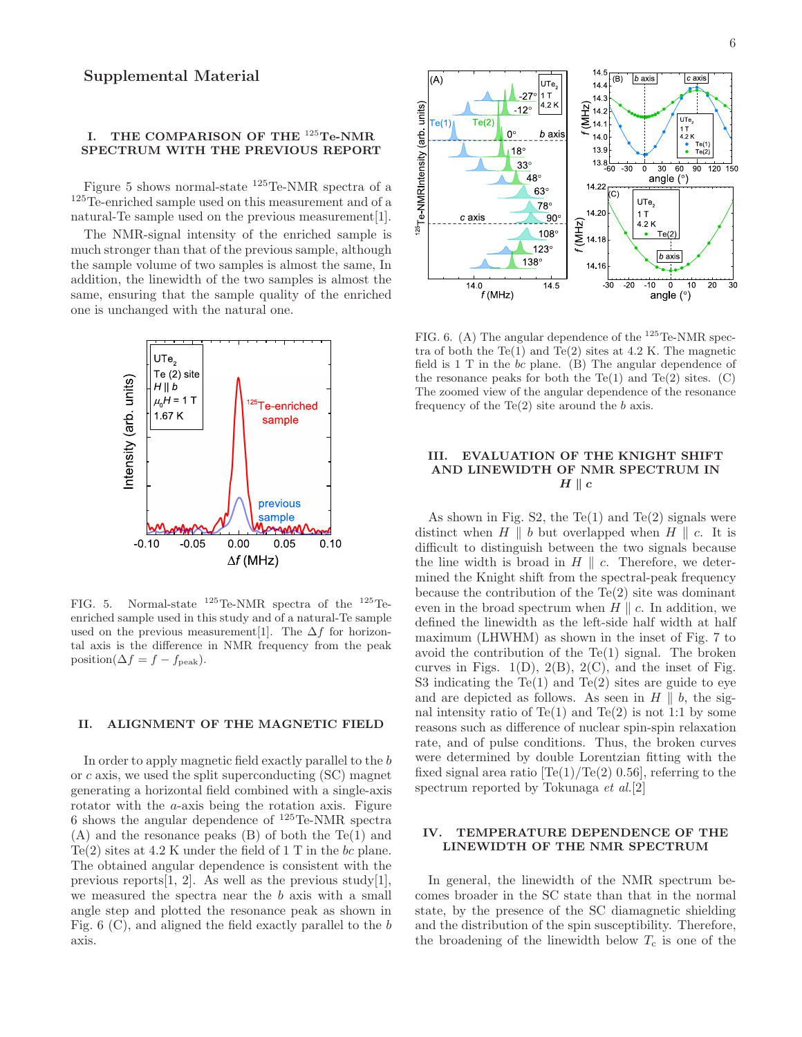## I. THE COMPARISON OF THE <sup>125</sup>Te-NMR SPECTRUM WITH THE PREVIOUS REPORT

Figure 5 shows normal-state <sup>125</sup>Te-NMR spectra of a <sup>125</sup>Te-enriched sample used on this measurement and of a natural-Te sample used on the previous measurement[1].

The NMR-signal intensity of the enriched sample is much stronger than that of the previous sample, although the sample volume of two samples is almost the same, In addition, the linewidth of the two samples is almost the same, ensuring that the sample quality of the enriched one is unchanged with the natural one.



FIG. 5. Normal-state  $^{125}$ Te-NMR spectra of the  $^{125}$ Teenriched sample used in this study and of a natural-Te sample used on the previous measurement[1]. The  $\Delta f$  for horizontal axis is the difference in NMR frequency from the peak position( $\Delta f = f - f_{\text{peak}}$ ).

## II. ALIGNMENT OF THE MAGNETIC FIELD

In order to apply magnetic field exactly parallel to the b or c axis, we used the split superconducting (SC) magnet generating a horizontal field combined with a single-axis rotator with the a-axis being the rotation axis. Figure 6 shows the angular dependence of  $^{125}$ Te-NMR spectra (A) and the resonance peaks (B) of both the Te(1) and  $Te(2)$  sites at 4.2 K under the field of 1 T in the bc plane. The obtained angular dependence is consistent with the previous reports [1, 2]. As well as the previous study [1], we measured the spectra near the b axis with a small angle step and plotted the resonance peak as shown in Fig. 6 (C), and aligned the field exactly parallel to the b axis.



FIG. 6. (A) The angular dependence of the  $^{125}$ Te-NMR spectra of both the Te(1) and Te(2) sites at  $4.2$  K. The magnetic field is 1 T in the bc plane. (B) The angular dependence of the resonance peaks for both the Te(1) and Te(2) sites.  $(C)$ The zoomed view of the angular dependence of the resonance frequency of the  $Te(2)$  site around the b axis.

#### III. EVALUATION OF THE KNIGHT SHIFT AND LINEWIDTH OF NMR SPECTRUM IN  $H \parallel c$

As shown in Fig.  $S2$ , the Te(1) and Te(2) signals were distinct when  $H \parallel b$  but overlapped when  $H \parallel c$ . It is difficult to distinguish between the two signals because the line width is broad in  $H \parallel c$ . Therefore, we determined the Knight shift from the spectral-peak frequency because the contribution of the  $Te(2)$  site was dominant even in the broad spectrum when  $H \parallel c$ . In addition, we defined the linewidth as the left-side half width at half maximum (LHWHM) as shown in the inset of Fig. 7 to avoid the contribution of the  $Te(1)$  signal. The broken curves in Figs.  $1(D)$ ,  $2(B)$ ,  $2(C)$ , and the inset of Fig. S3 indicating the  $Te(1)$  and  $Te(2)$  sites are guide to eye and are depicted as follows. As seen in  $H \parallel b$ , the signal intensity ratio of  $Te(1)$  and  $Te(2)$  is not 1:1 by some reasons such as difference of nuclear spin-spin relaxation rate, and of pulse conditions. Thus, the broken curves were determined by double Lorentzian fitting with the fixed signal area ratio  $[Te(1)/Te(2) 0.56]$ , referring to the spectrum reported by Tokunaga et al.[2]

#### IV. TEMPERATURE DEPENDENCE OF THE LINEWIDTH OF THE NMR SPECTRUM

In general, the linewidth of the NMR spectrum becomes broader in the SC state than that in the normal state, by the presence of the SC diamagnetic shielding and the distribution of the spin susceptibility. Therefore, the broadening of the linewidth below  $T_c$  is one of the